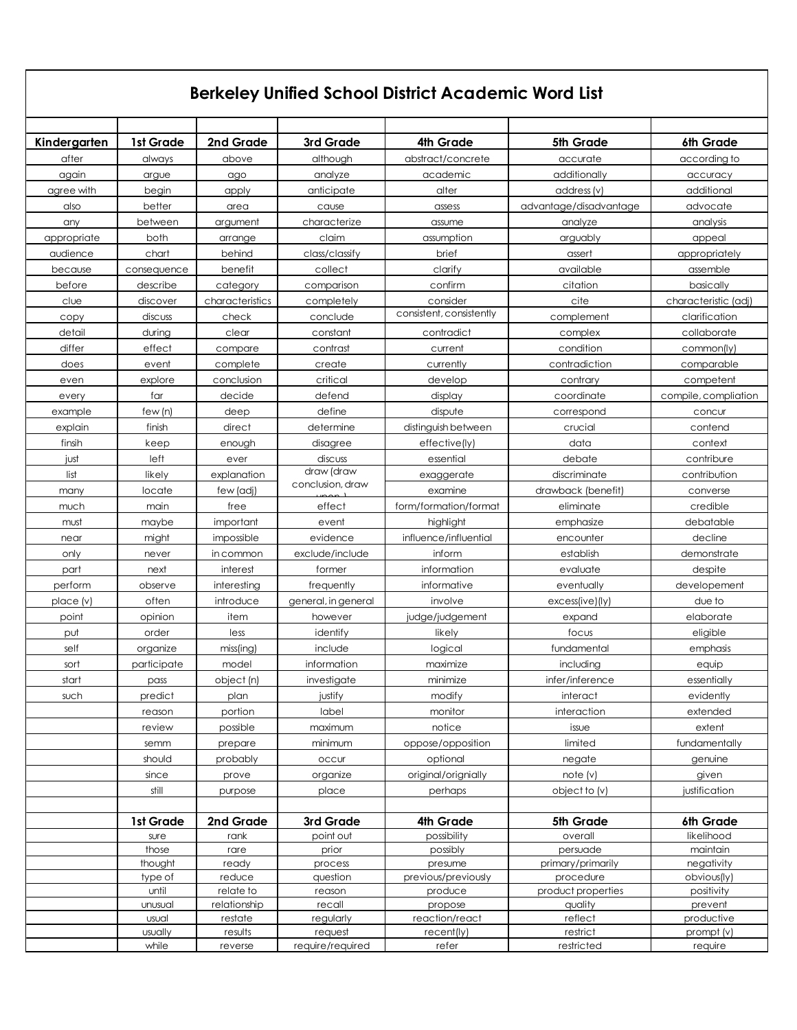## **Berkeley Unified School District Academic Word List**

| Kindergarten | 1st Grade        | 2nd Grade       | 3rd Grade           | 4th Grade                | 5th Grade                     | 6th Grade              |
|--------------|------------------|-----------------|---------------------|--------------------------|-------------------------------|------------------------|
| after        | always           | above           | although            | abstract/concrete        | accurate                      | according to           |
| again        | argue            | ago             | analyze             | academic                 | additionally                  | accuracy               |
| agree with   | begin            | apply           | anticipate          | alter                    | address (v)                   | additional             |
| also         | better           | area            | cause               | assess                   | advantage/disadvantage        | advocate               |
| any          | between          | argument        | characterize        | assume                   | analyze                       | analysis               |
| appropriate  | both             | arrange         | claim               | assumption               | arguably                      | appeal                 |
| audience     | chart            | behind          | class/classify      | brief                    | assert                        | appropriately          |
| because      | consequence      | benefit         | collect             | clarify                  | available                     | assemble               |
| before       | describe         | category        | comparison          | confirm                  | citation                      | basically              |
| clue         | discover         | characteristics | completely          | consider                 | cite                          | characteristic (adj)   |
| copy         | discuss          | check           | conclude            | consistent, consistently | complement                    | clarification          |
| detail       | during           | clear           | constant            | contradict               | complex                       | collaborate            |
| differ       | effect           | compare         | contrast            | current                  | condition                     | common(ly)             |
| does         | event            | complete        | create              | currently                | contradiction                 | comparable             |
| even         | explore          | conclusion      | critical            | develop                  | contrary                      | competent              |
| every        | far              | decide          | defend              | display                  | coordinate                    | compile, compliation   |
| example      | few(n)           | deep            | define              | dispute                  | correspond                    | concur                 |
| explain      | finish           | direct          | determine           | distinguish between      | crucial                       | contend                |
| finsih       | keep             | enough          | disagree            | effective(ly)            | data                          | context                |
| just         | left             | ever            | discuss             | essential                | debate                        | contribure             |
| list         | likely           | explanation     | draw (draw          | exaggerate               | discriminate                  | contribution           |
| many         | locate           | few (adj)       | conclusion, draw    | examine                  | drawback (benefit)            | converse               |
| much         | main             | free            | effect              | form/formation/format    | eliminate                     | credible               |
| must         | maybe            | important       | event               | highlight                | emphasize                     | debatable              |
| near         | might            | impossible      | evidence            | influence/influential    | encounter                     | decline                |
| only         | never            | in common       | exclude/include     | inform                   | establish                     | demonstrate            |
| part         | next             | interest        | former              | information              | evaluate                      | despite                |
| perform      | observe          | interesting     | frequently          | informative              | eventually                    | developement           |
| place(v)     | often            | introduce       | general, in general | involve                  | excess(ive)(iy)               | due to                 |
| point        | opinion          | item            | however             | judge/judgement          | expand                        | elaborate              |
| put          | order            | less            | identify            | likely                   | focus                         | eligible               |
| self         | organize         | miss(ing)       | include             | logical                  | fundamental                   | emphasis               |
| sort         | participate      | model           | information         | maximize                 | including                     | equip                  |
| start        | pass             | object (n)      | investigate         | minimize                 | infer/inference               | essentially            |
| such         | predict          | plan            | justify             | modify                   | interact                      | evidently              |
|              | reason           | portion         | label               | monitor                  | interaction                   | extended               |
|              | review           | possible        | maximum             | notice                   | issue                         | extent                 |
|              | semm             | prepare         | minimum             | oppose/opposition        | limited                       | fundamentally          |
|              | should           | probably        | occur               | optional                 | negate                        | genuine                |
|              | since            | prove           | organize            | original/orignially      | note (v)                      | given                  |
|              | still            | purpose         | place               | perhaps                  | object to (v)                 | justification          |
|              |                  |                 |                     |                          |                               |                        |
|              | 1st Grade        | 2nd Grade       | 3rd Grade           | 4th Grade                | 5th Grade                     | 6th Grade              |
|              | sure             | rank            | point out           | possibility              | overall                       | likelihood             |
|              | those<br>thought | rare<br>ready   | prior<br>process    | possibly<br>presume      | persuade<br>primary/primarily | maintain<br>negativity |
|              | type of          | reduce          | question            | previous/previously      | procedure                     | obvious(ly)            |
|              | until            | relate to       | reason              | produce                  | product properties            | positivity             |
|              | unusual          | relationship    | recall              | propose                  | quality                       | prevent                |
|              | usual            | restate         | regularly           | reaction/react           | reflect                       | productive             |
|              | usually          | results         | request             | recent(ly)               | restrict                      | prompt (v)             |
|              | while            | reverse         | require/required    | refer                    | restricted                    | require                |